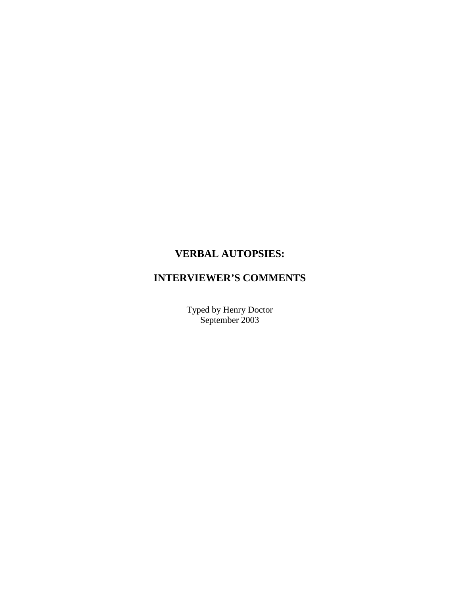# **VERBAL AUTOPSIES:**

# **INTERVIEWER'S COMMENTS**

Typed by Henry Doctor September 2003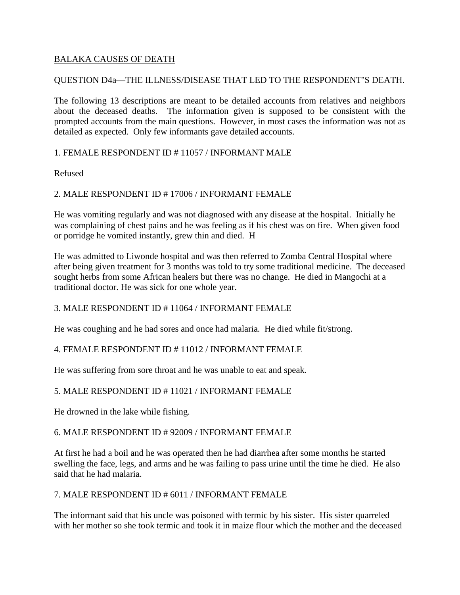# BALAKA CAUSES OF DEATH

# QUESTION D4a—THE ILLNESS/DISEASE THAT LED TO THE RESPONDENT'S DEATH.

The following 13 descriptions are meant to be detailed accounts from relatives and neighbors about the deceased deaths. The information given is supposed to be consistent with the prompted accounts from the main questions. However, in most cases the information was not as detailed as expected. Only few informants gave detailed accounts.

## 1. FEMALE RESPONDENT ID # 11057 / INFORMANT MALE

Refused

## 2. MALE RESPONDENT ID # 17006 / INFORMANT FEMALE

He was vomiting regularly and was not diagnosed with any disease at the hospital. Initially he was complaining of chest pains and he was feeling as if his chest was on fire. When given food or porridge he vomited instantly, grew thin and died. H

He was admitted to Liwonde hospital and was then referred to Zomba Central Hospital where after being given treatment for 3 months was told to try some traditional medicine. The deceased sought herbs from some African healers but there was no change. He died in Mangochi at a traditional doctor. He was sick for one whole year.

## 3. MALE RESPONDENT ID # 11064 / INFORMANT FEMALE

He was coughing and he had sores and once had malaria. He died while fit/strong.

# 4. FEMALE RESPONDENT ID # 11012 / INFORMANT FEMALE

He was suffering from sore throat and he was unable to eat and speak.

# 5. MALE RESPONDENT ID # 11021 / INFORMANT FEMALE

He drowned in the lake while fishing.

## 6. MALE RESPONDENT ID # 92009 / INFORMANT FEMALE

At first he had a boil and he was operated then he had diarrhea after some months he started swelling the face, legs, and arms and he was failing to pass urine until the time he died. He also said that he had malaria.

## 7. MALE RESPONDENT ID # 6011 / INFORMANT FEMALE

The informant said that his uncle was poisoned with termic by his sister. His sister quarreled with her mother so she took termic and took it in maize flour which the mother and the deceased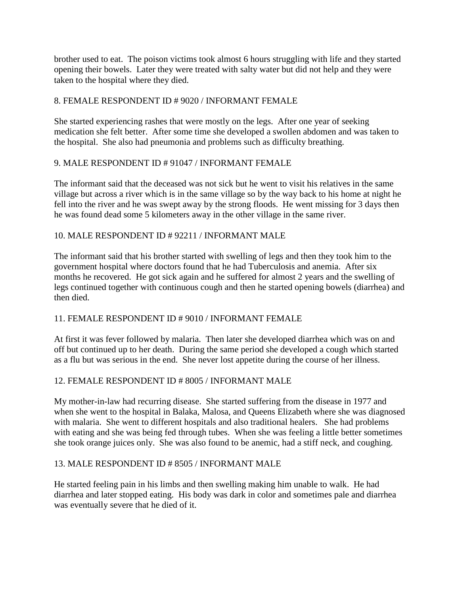brother used to eat. The poison victims took almost 6 hours struggling with life and they started opening their bowels. Later they were treated with salty water but did not help and they were taken to the hospital where they died.

# 8. FEMALE RESPONDENT ID # 9020 / INFORMANT FEMALE

She started experiencing rashes that were mostly on the legs. After one year of seeking medication she felt better. After some time she developed a swollen abdomen and was taken to the hospital. She also had pneumonia and problems such as difficulty breathing.

# 9. MALE RESPONDENT ID # 91047 / INFORMANT FEMALE

The informant said that the deceased was not sick but he went to visit his relatives in the same village but across a river which is in the same village so by the way back to his home at night he fell into the river and he was swept away by the strong floods. He went missing for 3 days then he was found dead some 5 kilometers away in the other village in the same river.

# 10. MALE RESPONDENT ID # 92211 / INFORMANT MALE

The informant said that his brother started with swelling of legs and then they took him to the government hospital where doctors found that he had Tuberculosis and anemia. After six months he recovered. He got sick again and he suffered for almost 2 years and the swelling of legs continued together with continuous cough and then he started opening bowels (diarrhea) and then died.

# 11. FEMALE RESPONDENT ID # 9010 / INFORMANT FEMALE

At first it was fever followed by malaria. Then later she developed diarrhea which was on and off but continued up to her death. During the same period she developed a cough which started as a flu but was serious in the end. She never lost appetite during the course of her illness.

# 12. FEMALE RESPONDENT ID # 8005 / INFORMANT MALE

My mother-in-law had recurring disease. She started suffering from the disease in 1977 and when she went to the hospital in Balaka, Malosa, and Queens Elizabeth where she was diagnosed with malaria. She went to different hospitals and also traditional healers. She had problems with eating and she was being fed through tubes. When she was feeling a little better sometimes she took orange juices only. She was also found to be anemic, had a stiff neck, and coughing.

# 13. MALE RESPONDENT ID # 8505 / INFORMANT MALE

He started feeling pain in his limbs and then swelling making him unable to walk. He had diarrhea and later stopped eating. His body was dark in color and sometimes pale and diarrhea was eventually severe that he died of it.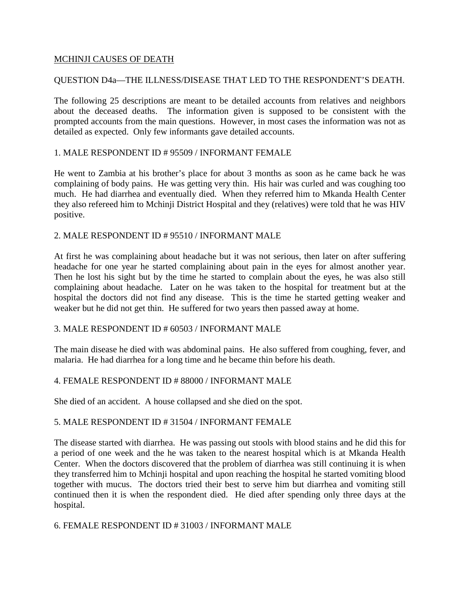## MCHINJI CAUSES OF DEATH

# QUESTION D4a—THE ILLNESS/DISEASE THAT LED TO THE RESPONDENT'S DEATH.

The following 25 descriptions are meant to be detailed accounts from relatives and neighbors about the deceased deaths. The information given is supposed to be consistent with the prompted accounts from the main questions. However, in most cases the information was not as detailed as expected. Only few informants gave detailed accounts.

## 1. MALE RESPONDENT ID # 95509 / INFORMANT FEMALE

He went to Zambia at his brother's place for about 3 months as soon as he came back he was complaining of body pains. He was getting very thin. His hair was curled and was coughing too much. He had diarrhea and eventually died. When they referred him to Mkanda Health Center they also refereed him to Mchinji District Hospital and they (relatives) were told that he was HIV positive.

## 2. MALE RESPONDENT ID # 95510 / INFORMANT MALE

At first he was complaining about headache but it was not serious, then later on after suffering headache for one year he started complaining about pain in the eyes for almost another year. Then he lost his sight but by the time he started to complain about the eyes, he was also still complaining about headache. Later on he was taken to the hospital for treatment but at the hospital the doctors did not find any disease. This is the time he started getting weaker and weaker but he did not get thin. He suffered for two years then passed away at home.

## 3. MALE RESPONDENT ID # 60503 / INFORMANT MALE

The main disease he died with was abdominal pains. He also suffered from coughing, fever, and malaria. He had diarrhea for a long time and he became thin before his death.

## 4. FEMALE RESPONDENT ID # 88000 / INFORMANT MALE

She died of an accident. A house collapsed and she died on the spot.

#### 5. MALE RESPONDENT ID # 31504 / INFORMANT FEMALE

The disease started with diarrhea. He was passing out stools with blood stains and he did this for a period of one week and the he was taken to the nearest hospital which is at Mkanda Health Center. When the doctors discovered that the problem of diarrhea was still continuing it is when they transferred him to Mchinji hospital and upon reaching the hospital he started vomiting blood together with mucus. The doctors tried their best to serve him but diarrhea and vomiting still continued then it is when the respondent died. He died after spending only three days at the hospital.

## 6. FEMALE RESPONDENT ID # 31003 / INFORMANT MALE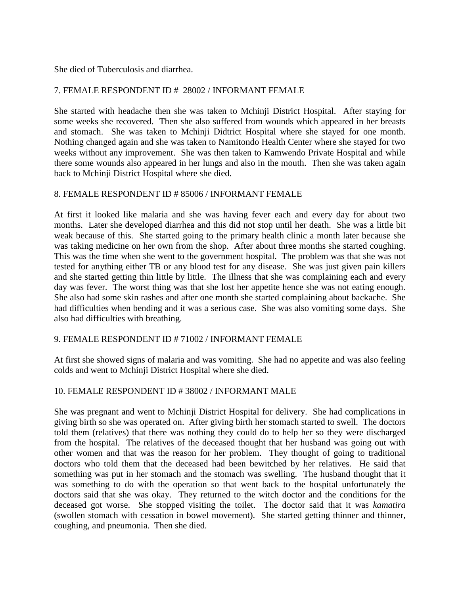She died of Tuberculosis and diarrhea.

# 7. FEMALE RESPONDENT ID # 28002 / INFORMANT FEMALE

She started with headache then she was taken to Mchinji District Hospital. After staying for some weeks she recovered. Then she also suffered from wounds which appeared in her breasts and stomach. She was taken to Mchinji Didtrict Hospital where she stayed for one month. Nothing changed again and she was taken to Namitondo Health Center where she stayed for two weeks without any improvement. She was then taken to Kamwendo Private Hospital and while there some wounds also appeared in her lungs and also in the mouth. Then she was taken again back to Mchinji District Hospital where she died.

## 8. FEMALE RESPONDENT ID # 85006 / INFORMANT FEMALE

At first it looked like malaria and she was having fever each and every day for about two months. Later she developed diarrhea and this did not stop until her death. She was a little bit weak because of this. She started going to the primary health clinic a month later because she was taking medicine on her own from the shop. After about three months she started coughing. This was the time when she went to the government hospital. The problem was that she was not tested for anything either TB or any blood test for any disease. She was just given pain killers and she started getting thin little by little. The illness that she was complaining each and every day was fever. The worst thing was that she lost her appetite hence she was not eating enough. She also had some skin rashes and after one month she started complaining about backache. She had difficulties when bending and it was a serious case. She was also vomiting some days. She also had difficulties with breathing.

## 9. FEMALE RESPONDENT ID # 71002 / INFORMANT FEMALE

At first she showed signs of malaria and was vomiting. She had no appetite and was also feeling colds and went to Mchinji District Hospital where she died.

## 10. FEMALE RESPONDENT ID # 38002 / INFORMANT MALE

She was pregnant and went to Mchinji District Hospital for delivery. She had complications in giving birth so she was operated on. After giving birth her stomach started to swell. The doctors told them (relatives) that there was nothing they could do to help her so they were discharged from the hospital. The relatives of the deceased thought that her husband was going out with other women and that was the reason for her problem. They thought of going to traditional doctors who told them that the deceased had been bewitched by her relatives. He said that something was put in her stomach and the stomach was swelling. The husband thought that it was something to do with the operation so that went back to the hospital unfortunately the doctors said that she was okay. They returned to the witch doctor and the conditions for the deceased got worse. She stopped visiting the toilet. The doctor said that it was *kamatira* (swollen stomach with cessation in bowel movement). She started getting thinner and thinner, coughing, and pneumonia. Then she died.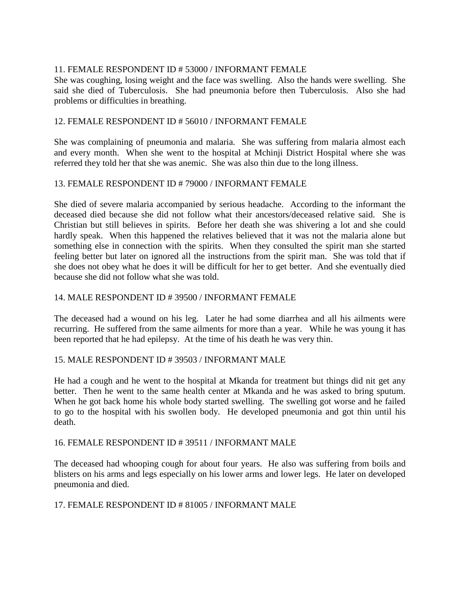# 11. FEMALE RESPONDENT ID # 53000 / INFORMANT FEMALE

She was coughing, losing weight and the face was swelling. Also the hands were swelling. She said she died of Tuberculosis. She had pneumonia before then Tuberculosis. Also she had problems or difficulties in breathing.

## 12. FEMALE RESPONDENT ID # 56010 / INFORMANT FEMALE

She was complaining of pneumonia and malaria. She was suffering from malaria almost each and every month. When she went to the hospital at Mchinji District Hospital where she was referred they told her that she was anemic. She was also thin due to the long illness.

## 13. FEMALE RESPONDENT ID # 79000 / INFORMANT FEMALE

She died of severe malaria accompanied by serious headache. According to the informant the deceased died because she did not follow what their ancestors/deceased relative said. She is Christian but still believes in spirits. Before her death she was shivering a lot and she could hardly speak. When this happened the relatives believed that it was not the malaria alone but something else in connection with the spirits. When they consulted the spirit man she started feeling better but later on ignored all the instructions from the spirit man. She was told that if she does not obey what he does it will be difficult for her to get better. And she eventually died because she did not follow what she was told.

## 14. MALE RESPONDENT ID # 39500 / INFORMANT FEMALE

The deceased had a wound on his leg. Later he had some diarrhea and all his ailments were recurring. He suffered from the same ailments for more than a year. While he was young it has been reported that he had epilepsy. At the time of his death he was very thin.

## 15. MALE RESPONDENT ID # 39503 / INFORMANT MALE

He had a cough and he went to the hospital at Mkanda for treatment but things did nit get any better. Then he went to the same health center at Mkanda and he was asked to bring sputum. When he got back home his whole body started swelling. The swelling got worse and he failed to go to the hospital with his swollen body. He developed pneumonia and got thin until his death.

## 16. FEMALE RESPONDENT ID # 39511 / INFORMANT MALE

The deceased had whooping cough for about four years. He also was suffering from boils and blisters on his arms and legs especially on his lower arms and lower legs. He later on developed pneumonia and died.

## 17. FEMALE RESPONDENT ID # 81005 / INFORMANT MALE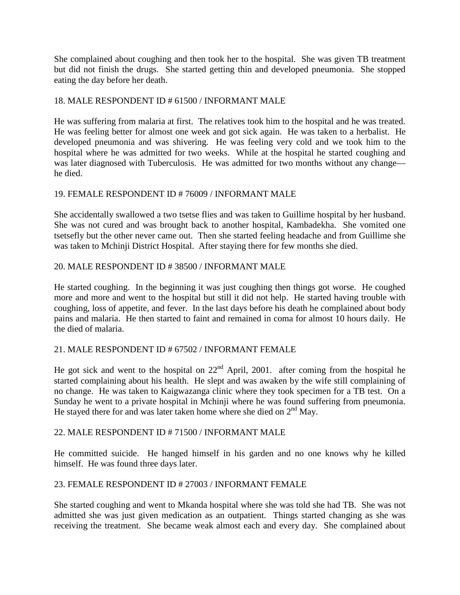She complained about coughing and then took her to the hospital. She was given TB treatment but did not finish the drugs. She started getting thin and developed pneumonia. She stopped eating the day before her death.

# 18. MALE RESPONDENT ID # 61500 / INFORMANT MALE

He was suffering from malaria at first. The relatives took him to the hospital and he was treated. He was feeling better for almost one week and got sick again. He was taken to a herbalist. He developed pneumonia and was shivering. He was feeling very cold and we took him to the hospital where he was admitted for two weeks. While at the hospital he started coughing and was later diagnosed with Tuberculosis. He was admitted for two months without any change he died.

## 19. FEMALE RESPONDENT ID # 76009 / INFORMANT MALE

She accidentally swallowed a two tsetse flies and was taken to Guillime hospital by her husband. She was not cured and was brought back to another hospital, Kambadekha. She vomited one tsetsefly but the other never came out. Then she started feeling headache and from Guillime she was taken to Mchinji District Hospital. After staying there for few months she died.

## 20. MALE RESPONDENT ID # 38500 / INFORMANT MALE

He started coughing. In the beginning it was just coughing then things got worse. He coughed more and more and went to the hospital but still it did not help. He started having trouble with coughing, loss of appetite, and fever. In the last days before his death he complained about body pains and malaria. He then started to faint and remained in coma for almost 10 hours daily. He the died of malaria.

## 21. MALE RESPONDENT ID # 67502 / INFORMANT FEMALE

He got sick and went to the hospital on  $22<sup>nd</sup>$  April, 2001. after coming from the hospital he started complaining about his health. He slept and was awaken by the wife still complaining of no change. He was taken to Kaigwazanga clinic where they took specimen for a TB test. On a Sunday he went to a private hospital in Mchinji where he was found suffering from pneumonia. He stayed there for and was later taken home where she died on  $2<sup>nd</sup>$  May.

## 22. MALE RESPONDENT ID # 71500 / INFORMANT MALE

He committed suicide. He hanged himself in his garden and no one knows why he killed himself. He was found three days later.

## 23. FEMALE RESPONDENT ID # 27003 / INFORMANT FEMALE

She started coughing and went to Mkanda hospital where she was told she had TB. She was not admitted she was just given medication as an outpatient. Things started changing as she was receiving the treatment. She became weak almost each and every day. She complained about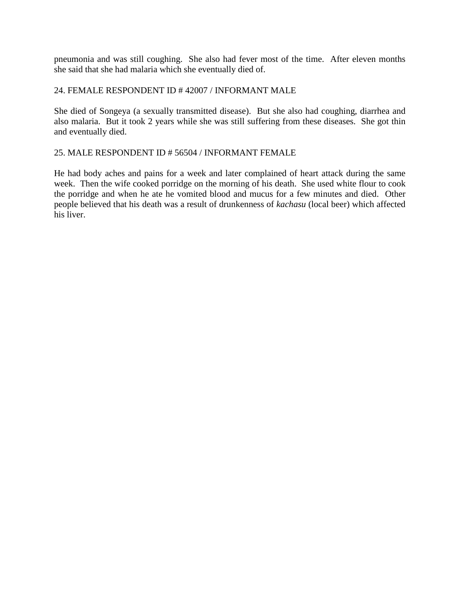pneumonia and was still coughing. She also had fever most of the time. After eleven months she said that she had malaria which she eventually died of.

## 24. FEMALE RESPONDENT ID # 42007 / INFORMANT MALE

She died of Songeya (a sexually transmitted disease). But she also had coughing, diarrhea and also malaria. But it took 2 years while she was still suffering from these diseases. She got thin and eventually died.

## 25. MALE RESPONDENT ID # 56504 / INFORMANT FEMALE

He had body aches and pains for a week and later complained of heart attack during the same week. Then the wife cooked porridge on the morning of his death. She used white flour to cook the porridge and when he ate he vomited blood and mucus for a few minutes and died. Other people believed that his death was a result of drunkenness of *kachasu* (local beer) which affected his liver.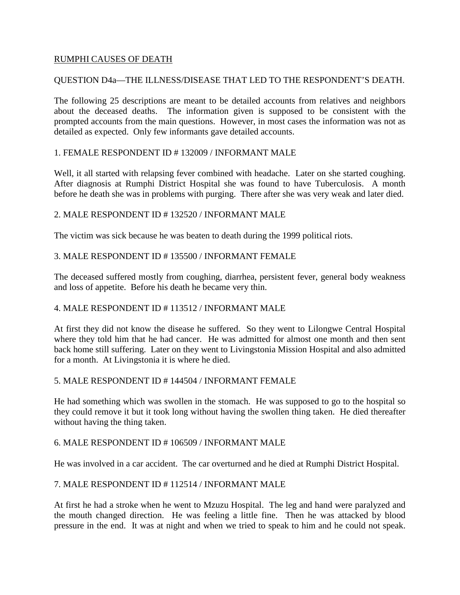## RUMPHI CAUSES OF DEATH

# QUESTION D4a—THE ILLNESS/DISEASE THAT LED TO THE RESPONDENT'S DEATH.

The following 25 descriptions are meant to be detailed accounts from relatives and neighbors about the deceased deaths. The information given is supposed to be consistent with the prompted accounts from the main questions. However, in most cases the information was not as detailed as expected. Only few informants gave detailed accounts.

## 1. FEMALE RESPONDENT ID # 132009 / INFORMANT MALE

Well, it all started with relapsing fever combined with headache. Later on she started coughing. After diagnosis at Rumphi District Hospital she was found to have Tuberculosis. A month before he death she was in problems with purging. There after she was very weak and later died.

## 2. MALE RESPONDENT ID # 132520 / INFORMANT MALE

The victim was sick because he was beaten to death during the 1999 political riots.

## 3. MALE RESPONDENT ID # 135500 / INFORMANT FEMALE

The deceased suffered mostly from coughing, diarrhea, persistent fever, general body weakness and loss of appetite. Before his death he became very thin.

## 4. MALE RESPONDENT ID # 113512 / INFORMANT MALE

At first they did not know the disease he suffered. So they went to Lilongwe Central Hospital where they told him that he had cancer. He was admitted for almost one month and then sent back home still suffering. Later on they went to Livingstonia Mission Hospital and also admitted for a month. At Livingstonia it is where he died.

## 5. MALE RESPONDENT ID # 144504 / INFORMANT FEMALE

He had something which was swollen in the stomach. He was supposed to go to the hospital so they could remove it but it took long without having the swollen thing taken. He died thereafter without having the thing taken.

## 6. MALE RESPONDENT ID # 106509 / INFORMANT MALE

He was involved in a car accident. The car overturned and he died at Rumphi District Hospital.

## 7. MALE RESPONDENT ID # 112514 / INFORMANT MALE

At first he had a stroke when he went to Mzuzu Hospital. The leg and hand were paralyzed and the mouth changed direction. He was feeling a little fine. Then he was attacked by blood pressure in the end. It was at night and when we tried to speak to him and he could not speak.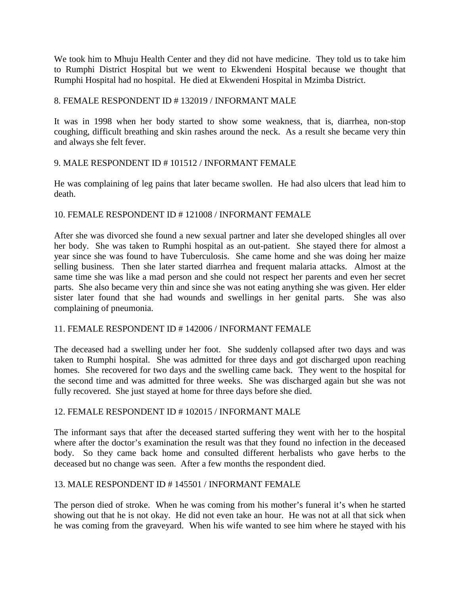We took him to Mhuju Health Center and they did not have medicine. They told us to take him to Rumphi District Hospital but we went to Ekwendeni Hospital because we thought that Rumphi Hospital had no hospital. He died at Ekwendeni Hospital in Mzimba District.

## 8. FEMALE RESPONDENT ID # 132019 / INFORMANT MALE

It was in 1998 when her body started to show some weakness, that is, diarrhea, non-stop coughing, difficult breathing and skin rashes around the neck. As a result she became very thin and always she felt fever.

## 9. MALE RESPONDENT ID # 101512 / INFORMANT FEMALE

He was complaining of leg pains that later became swollen. He had also ulcers that lead him to death.

## 10. FEMALE RESPONDENT ID # 121008 / INFORMANT FEMALE

After she was divorced she found a new sexual partner and later she developed shingles all over her body. She was taken to Rumphi hospital as an out-patient. She stayed there for almost a year since she was found to have Tuberculosis. She came home and she was doing her maize selling business. Then she later started diarrhea and frequent malaria attacks. Almost at the same time she was like a mad person and she could not respect her parents and even her secret parts. She also became very thin and since she was not eating anything she was given. Her elder sister later found that she had wounds and swellings in her genital parts. She was also complaining of pneumonia.

## 11. FEMALE RESPONDENT ID # 142006 / INFORMANT FEMALE

The deceased had a swelling under her foot. She suddenly collapsed after two days and was taken to Rumphi hospital. She was admitted for three days and got discharged upon reaching homes. She recovered for two days and the swelling came back. They went to the hospital for the second time and was admitted for three weeks. She was discharged again but she was not fully recovered. She just stayed at home for three days before she died.

## 12. FEMALE RESPONDENT ID # 102015 / INFORMANT MALE

The informant says that after the deceased started suffering they went with her to the hospital where after the doctor's examination the result was that they found no infection in the deceased body. So they came back home and consulted different herbalists who gave herbs to the deceased but no change was seen. After a few months the respondent died.

# 13. MALE RESPONDENT ID # 145501 / INFORMANT FEMALE

The person died of stroke. When he was coming from his mother's funeral it's when he started showing out that he is not okay. He did not even take an hour. He was not at all that sick when he was coming from the graveyard. When his wife wanted to see him where he stayed with his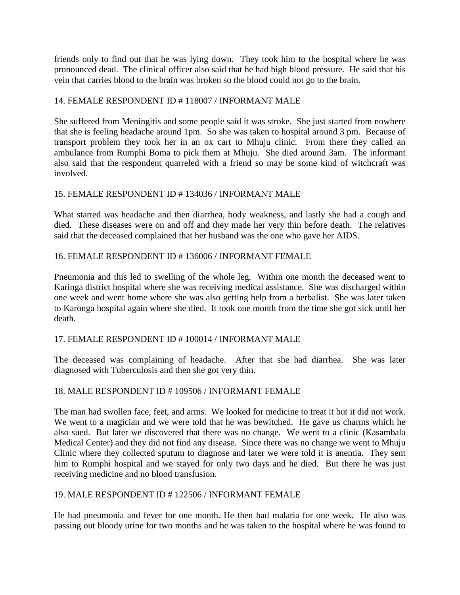friends only to find out that he was lying down. They took him to the hospital where he was pronounced dead. The clinical officer also said that he had high blood pressure. He said that his vein that carries blood to the brain was broken so the blood could not go to the brain.

# 14. FEMALE RESPONDENT ID # 118007 / INFORMANT MALE

She suffered from Meningitis and some people said it was stroke. She just started from nowhere that she is feeling headache around 1pm. So she was taken to hospital around 3 pm. Because of transport problem they took her in an ox cart to Mhuju clinic. From there they called an ambulance from Rumphi Boma to pick them at Mhuju. She died around 3am. The informant also said that the respondent quarreled with a friend so may be some kind of witchcraft was involved.

## 15. FEMALE RESPONDENT ID # 134036 / INFORMANT MALE

What started was headache and then diarrhea, body weakness, and lastly she had a cough and died. These diseases were on and off and they made her very thin before death. The relatives said that the deceased complained that her husband was the one who gave her AIDS.

## 16. FEMALE RESPONDENT ID # 136006 / INFORMANT FEMALE

Pneumonia and this led to swelling of the whole leg. Within one month the deceased went to Karinga district hospital where she was receiving medical assistance. She was discharged within one week and went home where she was also getting help from a herbalist. She was later taken to Karonga hospital again where she died. It took one month from the time she got sick until her death.

## 17. FEMALE RESPONDENT ID # 100014 / INFORMANT MALE

The deceased was complaining of headache. After that she had diarrhea. She was later diagnosed with Tuberculosis and then she got very thin.

## 18. MALE RESPONDENT ID # 109506 / INFORMANT FEMALE

The man had swollen face, feet, and arms. We looked for medicine to treat it but it did not work. We went to a magician and we were told that he was bewitched. He gave us charms which he also sued. But later we discovered that there was no change. We went to a clinic (Kasambala Medical Center) and they did not find any disease. Since there was no change we went to Mhuju Clinic where they collected sputum to diagnose and later we were told it is anemia. They sent him to Rumphi hospital and we stayed for only two days and he died. But there he was just receiving medicine and no blood transfusion.

## 19. MALE RESPONDENT ID # 122506 / INFORMANT FEMALE

He had pneumonia and fever for one month. He then had malaria for one week. He also was passing out bloody urine for two months and he was taken to the hospital where he was found to